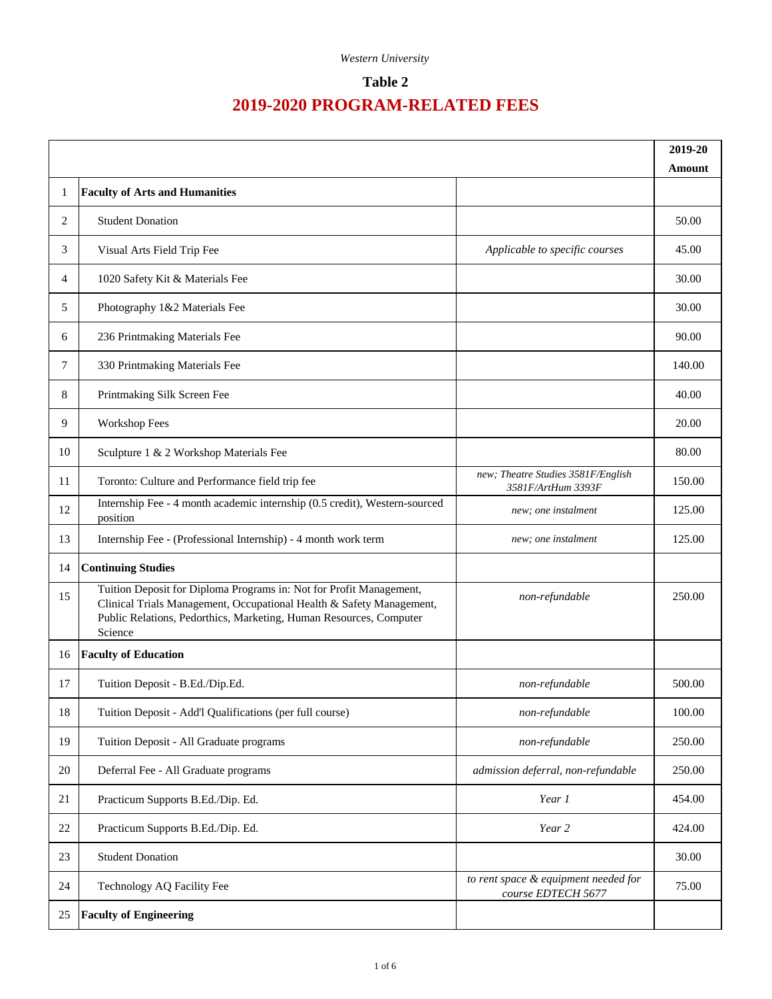#### **Table 2**

|        |                                                                                                                                                                                                                              |                                                            | 2019-20<br>Amount |
|--------|------------------------------------------------------------------------------------------------------------------------------------------------------------------------------------------------------------------------------|------------------------------------------------------------|-------------------|
| 1      | <b>Faculty of Arts and Humanities</b>                                                                                                                                                                                        |                                                            |                   |
| 2      | <b>Student Donation</b>                                                                                                                                                                                                      |                                                            | 50.00             |
| 3      | Visual Arts Field Trip Fee                                                                                                                                                                                                   | Applicable to specific courses                             | 45.00             |
| 4      | 1020 Safety Kit & Materials Fee                                                                                                                                                                                              |                                                            | 30.00             |
| 5      | Photography 1&2 Materials Fee                                                                                                                                                                                                |                                                            | 30.00             |
| 6      | 236 Printmaking Materials Fee                                                                                                                                                                                                |                                                            | 90.00             |
| 7      | 330 Printmaking Materials Fee                                                                                                                                                                                                |                                                            | 140.00            |
| 8      | Printmaking Silk Screen Fee                                                                                                                                                                                                  |                                                            | 40.00             |
| 9      | Workshop Fees                                                                                                                                                                                                                |                                                            | 20.00             |
| 10     | Sculpture 1 & 2 Workshop Materials Fee                                                                                                                                                                                       |                                                            | 80.00             |
| 11     | Toronto: Culture and Performance field trip fee                                                                                                                                                                              | new; Theatre Studies 3581F/English<br>3581F/ArtHum 3393F   | 150.00            |
| 12     | Internship Fee - 4 month academic internship (0.5 credit), Western-sourced<br>position                                                                                                                                       | new; one instalment                                        | 125.00            |
| 13     | Internship Fee - (Professional Internship) - 4 month work term                                                                                                                                                               | new; one instalment                                        | 125.00            |
| 14     | <b>Continuing Studies</b>                                                                                                                                                                                                    |                                                            |                   |
| 15     | Tuition Deposit for Diploma Programs in: Not for Profit Management,<br>Clinical Trials Management, Occupational Health & Safety Management,<br>Public Relations, Pedorthics, Marketing, Human Resources, Computer<br>Science | non-refundable                                             | 250.00            |
| 16     | <b>Faculty of Education</b>                                                                                                                                                                                                  |                                                            |                   |
| 17     | Tuition Deposit - B.Ed./Dip.Ed.                                                                                                                                                                                              | non-refundable                                             | 500.00            |
| 18     | Tuition Deposit - Add'l Qualifications (per full course)                                                                                                                                                                     | non-refundable                                             | 100.00            |
| 19     | Tuition Deposit - All Graduate programs                                                                                                                                                                                      | non-refundable                                             | 250.00            |
| 20     | Deferral Fee - All Graduate programs                                                                                                                                                                                         | admission deferral, non-refundable                         | 250.00            |
| 21     | Practicum Supports B.Ed./Dip. Ed.                                                                                                                                                                                            | Year 1                                                     | 454.00            |
| $22\,$ | Practicum Supports B.Ed./Dip. Ed.                                                                                                                                                                                            | Year 2                                                     | 424.00            |
| 23     | <b>Student Donation</b>                                                                                                                                                                                                      |                                                            | 30.00             |
| 24     | Technology AQ Facility Fee                                                                                                                                                                                                   | to rent space & equipment needed for<br>course EDTECH 5677 | 75.00             |
| 25     | <b>Faculty of Engineering</b>                                                                                                                                                                                                |                                                            |                   |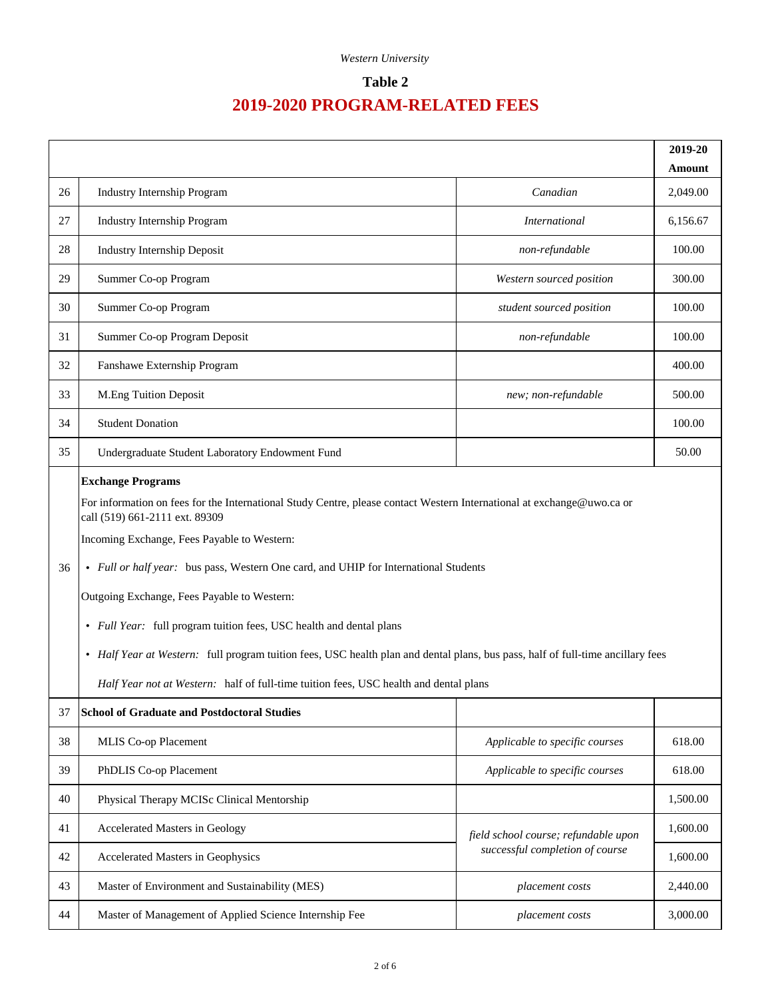#### **Table 2**

|    |                                                                                                                                                                                                                                                                                                                                                                                                                                                                                                                                                                                                                                                                               |                                                                         | 2019-20<br>Amount |
|----|-------------------------------------------------------------------------------------------------------------------------------------------------------------------------------------------------------------------------------------------------------------------------------------------------------------------------------------------------------------------------------------------------------------------------------------------------------------------------------------------------------------------------------------------------------------------------------------------------------------------------------------------------------------------------------|-------------------------------------------------------------------------|-------------------|
| 26 | <b>Industry Internship Program</b>                                                                                                                                                                                                                                                                                                                                                                                                                                                                                                                                                                                                                                            | Canadian                                                                | 2,049.00          |
| 27 | <b>Industry Internship Program</b>                                                                                                                                                                                                                                                                                                                                                                                                                                                                                                                                                                                                                                            | <b>International</b>                                                    | 6,156.67          |
| 28 | <b>Industry Internship Deposit</b>                                                                                                                                                                                                                                                                                                                                                                                                                                                                                                                                                                                                                                            | non-refundable                                                          | 100.00            |
| 29 | Summer Co-op Program                                                                                                                                                                                                                                                                                                                                                                                                                                                                                                                                                                                                                                                          | Western sourced position                                                | 300.00            |
| 30 | Summer Co-op Program                                                                                                                                                                                                                                                                                                                                                                                                                                                                                                                                                                                                                                                          | student sourced position                                                | 100.00            |
| 31 | Summer Co-op Program Deposit                                                                                                                                                                                                                                                                                                                                                                                                                                                                                                                                                                                                                                                  | non-refundable                                                          | 100.00            |
| 32 | Fanshawe Externship Program                                                                                                                                                                                                                                                                                                                                                                                                                                                                                                                                                                                                                                                   |                                                                         | 400.00            |
| 33 | M.Eng Tuition Deposit                                                                                                                                                                                                                                                                                                                                                                                                                                                                                                                                                                                                                                                         | new; non-refundable                                                     | 500.00            |
| 34 | <b>Student Donation</b>                                                                                                                                                                                                                                                                                                                                                                                                                                                                                                                                                                                                                                                       |                                                                         | 100.00            |
| 35 | Undergraduate Student Laboratory Endowment Fund                                                                                                                                                                                                                                                                                                                                                                                                                                                                                                                                                                                                                               |                                                                         | 50.00             |
| 36 | <b>Exchange Programs</b><br>For information on fees for the International Study Centre, please contact Western International at exchange@uwo.ca or<br>call (519) 661-2111 ext. 89309<br>Incoming Exchange, Fees Payable to Western:<br>• Full or half year: bus pass, Western One card, and UHIP for International Students<br>Outgoing Exchange, Fees Payable to Western:<br>• Full Year: full program tuition fees, USC health and dental plans<br>• Half Year at Western: full program tuition fees, USC health plan and dental plans, bus pass, half of full-time ancillary fees<br>Half Year not at Western: half of full-time tuition fees, USC health and dental plans |                                                                         |                   |
| 37 | <b>School of Graduate and Postdoctoral Studies</b>                                                                                                                                                                                                                                                                                                                                                                                                                                                                                                                                                                                                                            |                                                                         |                   |
| 38 | MLIS Co-op Placement                                                                                                                                                                                                                                                                                                                                                                                                                                                                                                                                                                                                                                                          | Applicable to specific courses                                          | 618.00            |
| 39 | PhDLIS Co-op Placement                                                                                                                                                                                                                                                                                                                                                                                                                                                                                                                                                                                                                                                        | Applicable to specific courses                                          | 618.00            |
| 40 | Physical Therapy MCISc Clinical Mentorship                                                                                                                                                                                                                                                                                                                                                                                                                                                                                                                                                                                                                                    |                                                                         | 1,500.00          |
| 41 | Accelerated Masters in Geology                                                                                                                                                                                                                                                                                                                                                                                                                                                                                                                                                                                                                                                | field school course; refundable upon<br>successful completion of course | 1,600.00          |
| 42 | Accelerated Masters in Geophysics                                                                                                                                                                                                                                                                                                                                                                                                                                                                                                                                                                                                                                             |                                                                         | 1,600.00          |
| 43 | Master of Environment and Sustainability (MES)                                                                                                                                                                                                                                                                                                                                                                                                                                                                                                                                                                                                                                | placement costs                                                         | 2,440.00          |
| 44 | Master of Management of Applied Science Internship Fee                                                                                                                                                                                                                                                                                                                                                                                                                                                                                                                                                                                                                        | placement costs                                                         | 3,000.00          |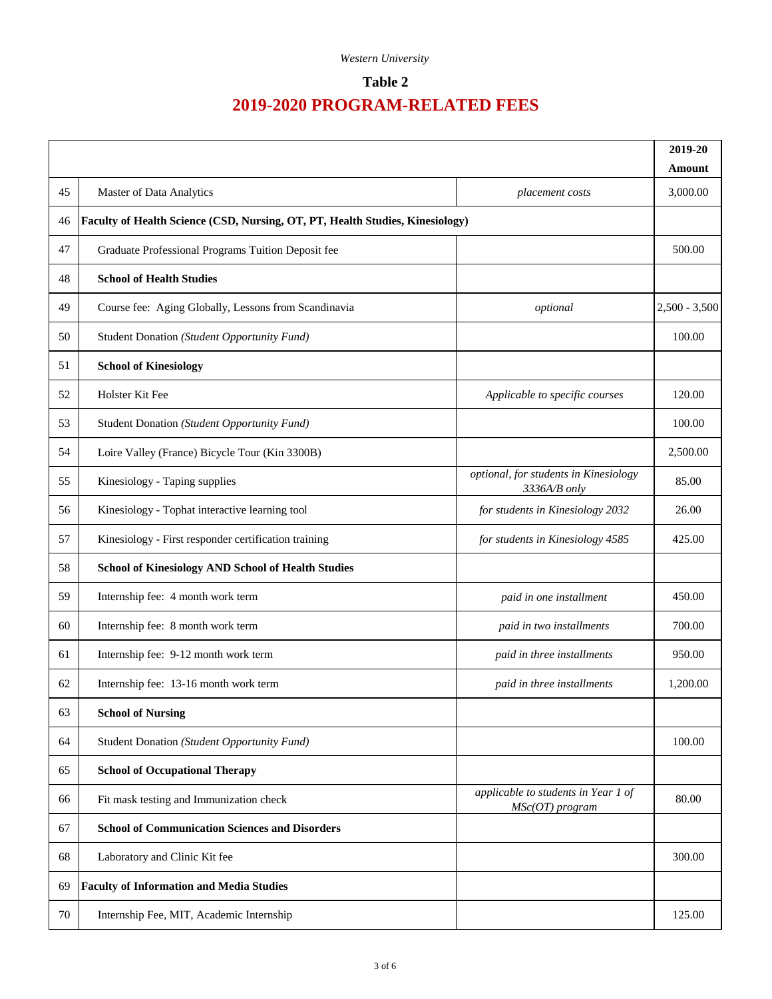#### **Table 2**

|    |                                                                                      |                                                          | 2019-20<br>Amount |
|----|--------------------------------------------------------------------------------------|----------------------------------------------------------|-------------------|
| 45 | Master of Data Analytics                                                             | placement costs                                          | 3,000.00          |
| 46 | <b>Faculty of Health Science (CSD, Nursing, OT, PT, Health Studies, Kinesiology)</b> |                                                          |                   |
| 47 | Graduate Professional Programs Tuition Deposit fee                                   |                                                          | 500.00            |
| 48 | <b>School of Health Studies</b>                                                      |                                                          |                   |
| 49 | Course fee: Aging Globally, Lessons from Scandinavia                                 | optional                                                 | $2,500 - 3,500$   |
| 50 | Student Donation (Student Opportunity Fund)                                          |                                                          | 100.00            |
| 51 | <b>School of Kinesiology</b>                                                         |                                                          |                   |
| 52 | Holster Kit Fee                                                                      | Applicable to specific courses                           | 120.00            |
| 53 | Student Donation (Student Opportunity Fund)                                          |                                                          | 100.00            |
| 54 | Loire Valley (France) Bicycle Tour (Kin 3300B)                                       |                                                          | 2,500.00          |
| 55 | Kinesiology - Taping supplies                                                        | optional, for students in Kinesiology<br>3336A/B only    | 85.00             |
| 56 | Kinesiology - Tophat interactive learning tool                                       | for students in Kinesiology 2032                         | 26.00             |
| 57 | Kinesiology - First responder certification training                                 | for students in Kinesiology 4585                         | 425.00            |
| 58 | <b>School of Kinesiology AND School of Health Studies</b>                            |                                                          |                   |
| 59 | Internship fee: 4 month work term                                                    | paid in one installment                                  | 450.00            |
| 60 | Internship fee: 8 month work term                                                    | paid in two installments                                 | 700.00            |
| 61 | Internship fee: 9-12 month work term                                                 | paid in three installments                               | 950.00            |
| 62 | Internship fee: 13-16 month work term                                                | paid in three installments                               | 1,200.00          |
| 63 | <b>School of Nursing</b>                                                             |                                                          |                   |
| 64 | Student Donation (Student Opportunity Fund)                                          |                                                          | 100.00            |
| 65 | <b>School of Occupational Therapy</b>                                                |                                                          |                   |
| 66 | Fit mask testing and Immunization check                                              | applicable to students in Year 1 of<br>$MSC(OT)$ program | 80.00             |
| 67 | <b>School of Communication Sciences and Disorders</b>                                |                                                          |                   |
| 68 | Laboratory and Clinic Kit fee                                                        |                                                          | 300.00            |
| 69 | <b>Faculty of Information and Media Studies</b>                                      |                                                          |                   |
| 70 | Internship Fee, MIT, Academic Internship                                             |                                                          | 125.00            |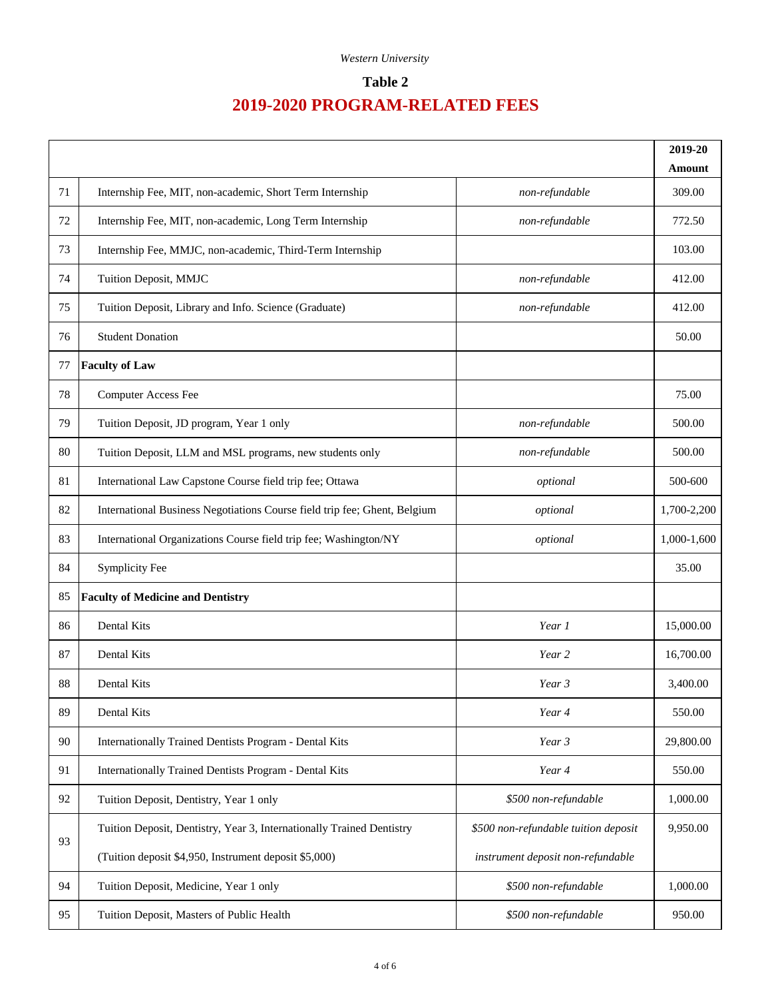#### **Table 2**

|        |                                                                           |                                      | 2019-20<br>Amount |
|--------|---------------------------------------------------------------------------|--------------------------------------|-------------------|
| 71     | Internship Fee, MIT, non-academic, Short Term Internship                  | non-refundable                       | 309.00            |
| 72     | Internship Fee, MIT, non-academic, Long Term Internship                   | non-refundable                       | 772.50            |
| 73     | Internship Fee, MMJC, non-academic, Third-Term Internship                 |                                      | 103.00            |
| 74     | Tuition Deposit, MMJC                                                     | non-refundable                       | 412.00            |
| 75     | Tuition Deposit, Library and Info. Science (Graduate)                     | non-refundable                       | 412.00            |
| 76     | <b>Student Donation</b>                                                   |                                      | 50.00             |
| 77     | <b>Faculty of Law</b>                                                     |                                      |                   |
| 78     | <b>Computer Access Fee</b>                                                |                                      | 75.00             |
| 79     | Tuition Deposit, JD program, Year 1 only                                  | non-refundable                       | 500.00            |
| 80     | Tuition Deposit, LLM and MSL programs, new students only                  | non-refundable                       | 500.00            |
| 81     | International Law Capstone Course field trip fee; Ottawa                  | optional                             | 500-600           |
| 82     | International Business Negotiations Course field trip fee; Ghent, Belgium | optional                             | 1,700-2,200       |
| 83     | International Organizations Course field trip fee; Washington/NY          | optional                             | 1,000-1,600       |
| 84     | Symplicity Fee                                                            |                                      | 35.00             |
| 85     | <b>Faculty of Medicine and Dentistry</b>                                  |                                      |                   |
| 86     | <b>Dental Kits</b>                                                        | Year 1                               | 15,000.00         |
| 87     | Dental Kits                                                               | Year 2                               | 16,700.00         |
| 88     | <b>Dental Kits</b>                                                        | Year 3                               | 3,400.00          |
| 89     | Dental Kits                                                               | Year 4                               | 550.00            |
| $90\,$ | Internationally Trained Dentists Program - Dental Kits                    | Year 3                               | 29,800.00         |
| 91     | Internationally Trained Dentists Program - Dental Kits                    | Year 4                               | 550.00            |
| 92     | Tuition Deposit, Dentistry, Year 1 only                                   | \$500 non-refundable                 | 1,000.00          |
|        | Tuition Deposit, Dentistry, Year 3, Internationally Trained Dentistry     | \$500 non-refundable tuition deposit | 9,950.00          |
| 93     | (Tuition deposit \$4,950, Instrument deposit \$5,000)                     | instrument deposit non-refundable    |                   |
| 94     | Tuition Deposit, Medicine, Year 1 only                                    | \$500 non-refundable                 | 1,000.00          |
| 95     | Tuition Deposit, Masters of Public Health                                 | \$500 non-refundable                 | 950.00            |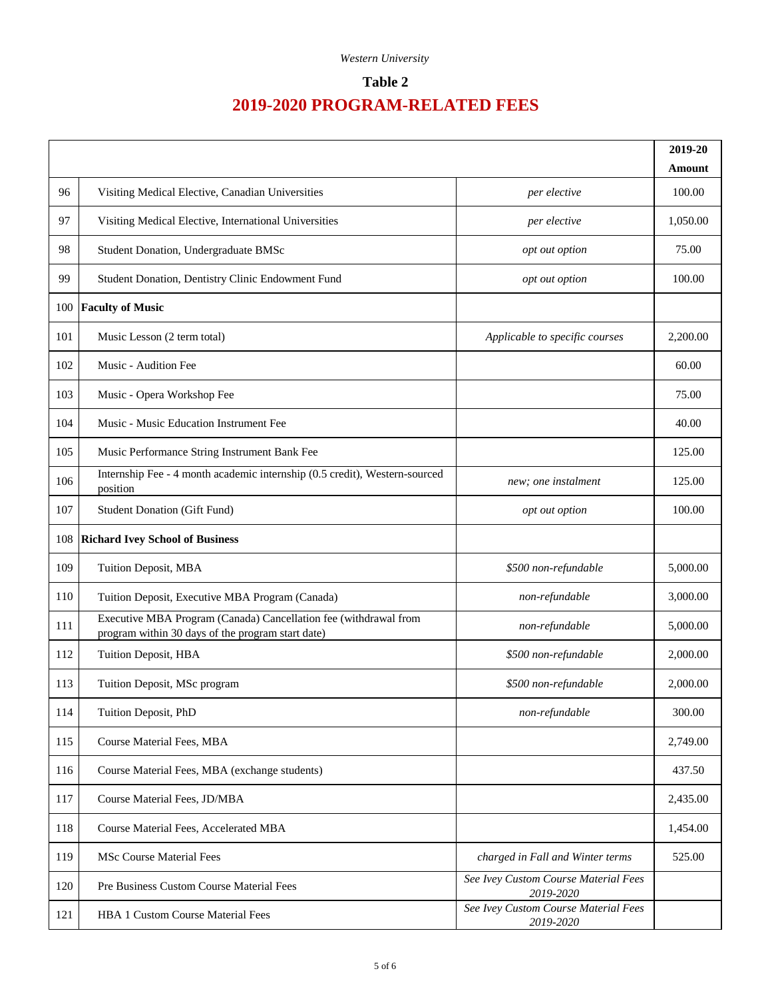#### **Table 2**

|     |                                                                                                                       |                                                   | 2019-20                 |
|-----|-----------------------------------------------------------------------------------------------------------------------|---------------------------------------------------|-------------------------|
| 96  | Visiting Medical Elective, Canadian Universities                                                                      | per elective                                      | <b>Amount</b><br>100.00 |
| 97  | Visiting Medical Elective, International Universities                                                                 | per elective                                      | 1,050.00                |
| 98  | Student Donation, Undergraduate BMSc                                                                                  | opt out option                                    | 75.00                   |
| 99  | Student Donation, Dentistry Clinic Endowment Fund                                                                     | opt out option                                    | 100.00                  |
| 100 | <b>Faculty of Music</b>                                                                                               |                                                   |                         |
| 101 | Music Lesson (2 term total)                                                                                           | Applicable to specific courses                    | 2,200.00                |
| 102 | Music - Audition Fee                                                                                                  |                                                   | 60.00                   |
| 103 | Music - Opera Workshop Fee                                                                                            |                                                   | 75.00                   |
| 104 | Music - Music Education Instrument Fee                                                                                |                                                   | 40.00                   |
| 105 | Music Performance String Instrument Bank Fee                                                                          |                                                   | 125.00                  |
| 106 | Internship Fee - 4 month academic internship (0.5 credit), Western-sourced<br>position                                | new; one instalment                               | 125.00                  |
| 107 | <b>Student Donation (Gift Fund)</b>                                                                                   | opt out option                                    | 100.00                  |
| 108 | <b>Richard Ivey School of Business</b>                                                                                |                                                   |                         |
| 109 | Tuition Deposit, MBA                                                                                                  | \$500 non-refundable                              | 5,000.00                |
| 110 | Tuition Deposit, Executive MBA Program (Canada)                                                                       | non-refundable                                    | 3,000.00                |
| 111 | Executive MBA Program (Canada) Cancellation fee (withdrawal from<br>program within 30 days of the program start date) | non-refundable                                    | 5,000.00                |
| 112 | Tuition Deposit, HBA                                                                                                  | \$500 non-refundable                              | 2,000.00                |
| 113 | Tuition Deposit, MSc program                                                                                          | \$500 non-refundable                              | 2,000.00                |
| 114 | Tuition Deposit, PhD                                                                                                  | non-refundable                                    | 300.00                  |
| 115 | <b>Course Material Fees, MBA</b>                                                                                      |                                                   | 2,749.00                |
| 116 | Course Material Fees, MBA (exchange students)                                                                         |                                                   | 437.50                  |
| 117 | Course Material Fees, JD/MBA                                                                                          |                                                   | 2,435.00                |
| 118 | Course Material Fees, Accelerated MBA                                                                                 |                                                   | 1,454.00                |
| 119 | <b>MSc Course Material Fees</b>                                                                                       | charged in Fall and Winter terms                  | 525.00                  |
| 120 | Pre Business Custom Course Material Fees                                                                              | See Ivey Custom Course Material Fees<br>2019-2020 |                         |
| 121 | <b>HBA 1 Custom Course Material Fees</b>                                                                              | See Ivey Custom Course Material Fees<br>2019-2020 |                         |